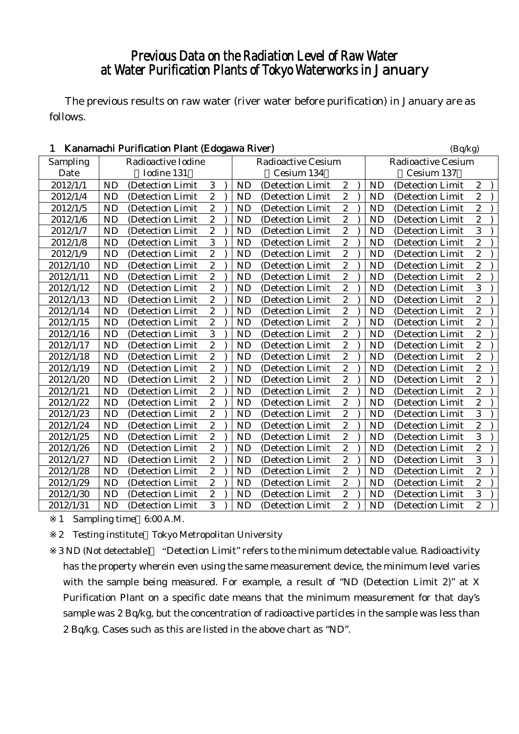# Previous Data on the Radiation Level of Raw Water at Water Purification Plants of Tokyo Waterworks in January

The previous results on raw water (river water before purification) in January are as follows.

| Kanamachi Purification Plant (Edogawa River)<br>1 |                               | (Bq/kg)                 |           |                           |                           |  |           |                  |                  |
|---------------------------------------------------|-------------------------------|-------------------------|-----------|---------------------------|---------------------------|--|-----------|------------------|------------------|
| Sampling                                          | Radioactive Iodine            |                         |           | <b>Radioactive Cesium</b> | <b>Radioactive Cesium</b> |  |           |                  |                  |
| Date                                              | Iodine 131                    |                         |           | Cesium 134                |                           |  |           | Cesium 137       |                  |
| 2012/1/1                                          | <b>ND</b><br>(Detection Limit | 3                       | <b>ND</b> | (Detection Limit          | $\boldsymbol{2}$          |  | <b>ND</b> | (Detection Limit | $\boldsymbol{2}$ |
| 2012/1/4                                          | <b>ND</b><br>(Detection Limit | $\overline{2}$          | <b>ND</b> | (Detection Limit          | $\overline{c}$            |  | <b>ND</b> | (Detection Limit | $\overline{c}$   |
| 2012/1/5                                          | <b>ND</b><br>(Detection Limit | $\boldsymbol{2}$        | <b>ND</b> | (Detection Limit          | $\boldsymbol{2}$          |  | <b>ND</b> | (Detection Limit | $\overline{c}$   |
| 2012/1/6                                          | <b>ND</b><br>(Detection Limit | $\overline{2}$          | <b>ND</b> | (Detection Limit          | $\overline{c}$            |  | <b>ND</b> | (Detection Limit | $\overline{2}$   |
| 2012/1/7                                          | <b>ND</b><br>(Detection Limit | $\overline{c}$          | <b>ND</b> | (Detection Limit          | $\overline{c}$            |  | <b>ND</b> | (Detection Limit | 3                |
| 2012/1/8                                          | <b>ND</b><br>(Detection Limit | $\overline{3}$          | <b>ND</b> | (Detection Limit)         | $\boldsymbol{2}$          |  | <b>ND</b> | (Detection Limit | $\overline{c}$   |
| 2012/1/9                                          | <b>ND</b><br>(Detection Limit | $\overline{c}$          | <b>ND</b> | (Detection Limit          | $\boldsymbol{2}$          |  | <b>ND</b> | (Detection Limit | $\overline{c}$   |
| 2012/1/10                                         | <b>ND</b><br>(Detection Limit | $\overline{c}$          | <b>ND</b> | (Detection Limit          | $\overline{c}$            |  | <b>ND</b> | (Detection Limit | $\overline{c}$   |
| 2012/1/11                                         | <b>ND</b><br>(Detection Limit | $\overline{2}$          | <b>ND</b> | (Detection Limit          | $\boldsymbol{2}$          |  | <b>ND</b> | (Detection Limit | $\overline{c}$   |
| 2012/1/12                                         | <b>ND</b><br>(Detection Limit | $\overline{c}$          | <b>ND</b> | (Detection Limit          | $\boldsymbol{2}$          |  | <b>ND</b> | (Detection Limit | 3                |
| 2012/1/13                                         | <b>ND</b><br>(Detection Limit | $\overline{c}$          | <b>ND</b> | (Detection Limit          | $\overline{c}$            |  | <b>ND</b> | (Detection Limit | $\overline{c}$   |
| 2012/1/14                                         | <b>ND</b><br>(Detection Limit | $\boldsymbol{2}$        | <b>ND</b> | (Detection Limit)         | $\boldsymbol{2}$          |  | <b>ND</b> | (Detection Limit | $\overline{c}$   |
| 2012/1/15                                         | <b>ND</b><br>(Detection Limit | $\boldsymbol{2}$        | <b>ND</b> | (Detection Limit          | $\boldsymbol{2}$          |  | <b>ND</b> | (Detection Limit | $\overline{c}$   |
| 2012/1/16                                         | <b>ND</b><br>(Detection Limit | $\overline{3}$          | <b>ND</b> | (Detection Limit          | $\overline{c}$            |  | <b>ND</b> | (Detection Limit | $\overline{c}$   |
| 2012/1/17                                         | <b>ND</b><br>(Detection Limit | $\overline{2}$          | <b>ND</b> | (Detection Limit          | $\boldsymbol{2}$          |  | <b>ND</b> | (Detection Limit | $\overline{c}$   |
| 2012/1/18                                         | <b>ND</b><br>(Detection Limit | $\overline{c}$          | <b>ND</b> | (Detection Limit          | $\boldsymbol{2}$          |  | <b>ND</b> | (Detection Limit | $\overline{c}$   |
| 2012/1/19                                         | <b>ND</b><br>(Detection Limit | $\overline{c}$          | <b>ND</b> | (Detection Limit          | $\overline{c}$            |  | <b>ND</b> | (Detection Limit | $\overline{c}$   |
| 2012/1/20                                         | <b>ND</b><br>(Detection Limit | $\boldsymbol{2}$        | <b>ND</b> | (Detection Limit)         | $\boldsymbol{2}$          |  | <b>ND</b> | (Detection Limit | $\overline{c}$   |
| 2012/1/21                                         | <b>ND</b><br>(Detection Limit | $\overline{c}$          | <b>ND</b> | (Detection Limit          | $\boldsymbol{2}$          |  | <b>ND</b> | (Detection Limit | $\overline{c}$   |
| 2012/1/22                                         | <b>ND</b><br>(Detection Limit | $\overline{c}$          | <b>ND</b> | (Detection Limit          | $\overline{c}$            |  | <b>ND</b> | (Detection Limit | $\overline{c}$   |
| 2012/1/23                                         | <b>ND</b><br>(Detection Limit | $\overline{2}$          | <b>ND</b> | (Detection Limit          | $\overline{\mathbf{c}}$   |  | <b>ND</b> | (Detection Limit | 3                |
| 2012/1/24                                         | <b>ND</b><br>(Detection Limit | $\overline{c}$          | <b>ND</b> | (Detection Limit          | $\boldsymbol{2}$          |  | <b>ND</b> | (Detection Limit | $\overline{2}$   |
| 2012/1/25                                         | <b>ND</b><br>(Detection Limit | $\overline{c}$          | <b>ND</b> | (Detection Limit          | $\overline{c}$            |  | <b>ND</b> | (Detection Limit | 3                |
| 2012/1/26                                         | <b>ND</b><br>(Detection Limit | $\overline{\mathbf{c}}$ | <b>ND</b> | (Detection Limit          | $\boldsymbol{2}$          |  | <b>ND</b> | (Detection Limit | $\overline{c}$   |
| 2012/1/27                                         | <b>ND</b><br>(Detection Limit | $\overline{2}$          | <b>ND</b> | (Detection Limit          | $\overline{c}$            |  | <b>ND</b> | (Detection Limit | 3                |
| 2012/1/28                                         | <b>ND</b><br>(Detection Limit | $\overline{c}$          | <b>ND</b> | (Detection Limit          | $\overline{c}$            |  | <b>ND</b> | (Detection Limit | $\overline{c}$   |
| 2012/1/29                                         | <b>ND</b><br>(Detection Limit | $\boldsymbol{2}$        | <b>ND</b> | (Detection Limit          | $\boldsymbol{2}$          |  | <b>ND</b> | (Detection Limit | $\overline{c}$   |
| 2012/1/30                                         | <b>ND</b><br>(Detection Limit | $\boldsymbol{2}$        | <b>ND</b> | (Detection Limit          | $\boldsymbol{2}$          |  | <b>ND</b> | (Detection Limit | 3                |
| 2012/1/31                                         | <b>ND</b><br>(Detection Limit | $\overline{3}$          | <b>ND</b> | (Detection Limit          | $\overline{c}$            |  | <b>ND</b> | (Detection Limit | $\overline{c}$   |

1 Sampling time 6:00 A.M.

2 Testing institute Tokyo Metropolitan University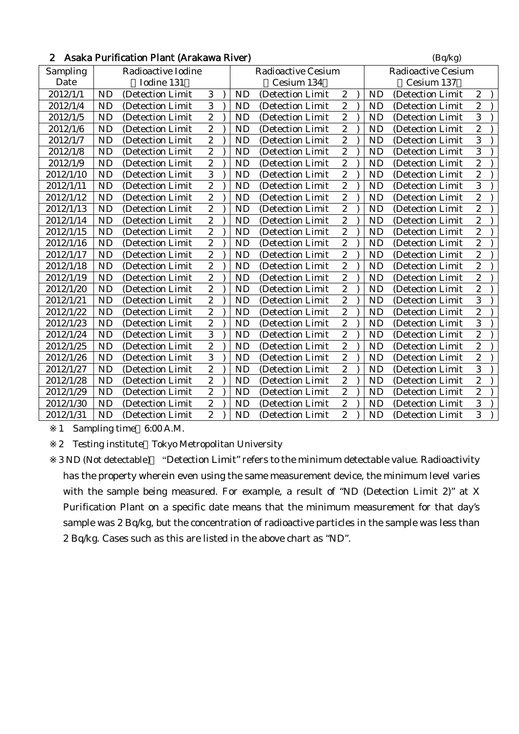| 2 Asaka Purification Plant (Arakawa River) | (Bq/kg) |
|--------------------------------------------|---------|
|                                            |         |

| Sampling  | Radioactive Iodine |                   |                  |  |           | <b>Radioactive Cesium</b> | <b>Radioactive Cesium</b> |  |           |                   |                  |
|-----------|--------------------|-------------------|------------------|--|-----------|---------------------------|---------------------------|--|-----------|-------------------|------------------|
| Date      | Iodine 131         |                   |                  |  |           | Cesium 134                |                           |  |           | Cesium 137        |                  |
| 2012/1/1  | <b>ND</b>          | (Detection Limit  | 3                |  | <b>ND</b> | (Detection Limit          | $\boldsymbol{2}$          |  | <b>ND</b> | (Detection Limit  | $\boldsymbol{2}$ |
| 2012/1/4  | <b>ND</b>          | (Detection Limit  | 3                |  | <b>ND</b> | (Detection Limit          | $\overline{c}$            |  | <b>ND</b> | (Detection Limit  | $\overline{c}$   |
| 2012/1/5  | <b>ND</b>          | (Detection Limit  | $\mathbf{2}$     |  | <b>ND</b> | (Detection Limit          | $\mathbf{2}$              |  | <b>ND</b> | (Detection Limit  | $\overline{3}$   |
| 2012/1/6  | <b>ND</b>          | (Detection Limit  | $\overline{2}$   |  | <b>ND</b> | (Detection Limit          | $\overline{c}$            |  | <b>ND</b> | (Detection Limit  | $\overline{c}$   |
| 2012/1/7  | <b>ND</b>          | (Detection Limit  | $\boldsymbol{2}$ |  | <b>ND</b> | (Detection Limit          | $\overline{c}$            |  | <b>ND</b> | (Detection Limit  | 3                |
| 2012/1/8  | <b>ND</b>          | (Detection Limit  | $\overline{2}$   |  | <b>ND</b> | (Detection Limit          | $\boldsymbol{2}$          |  | <b>ND</b> | (Detection Limit  | 3                |
| 2012/1/9  | <b>ND</b>          | (Detection Limit) | $\boldsymbol{2}$ |  | ND        | (Detection Limit          | $\overline{c}$            |  | <b>ND</b> | (Detection Limit) | $\overline{c}$   |
| 2012/1/10 | <b>ND</b>          | (Detection Limit  | 3                |  | <b>ND</b> | (Detection Limit)         | $\mathbf{2}$              |  | <b>ND</b> | (Detection Limit  | $\overline{c}$   |
| 2012/1/11 | <b>ND</b>          | (Detection Limit  | $\overline{2}$   |  | <b>ND</b> | (Detection Limit          | $\overline{c}$            |  | <b>ND</b> | (Detection Limit  | 3                |
| 2012/1/12 | <b>ND</b>          | (Detection Limit) | $\mathbf{2}$     |  | ND        | (Detection Limit          | $\boldsymbol{2}$          |  | <b>ND</b> | (Detection Limit) | $\boldsymbol{2}$ |
| 2012/1/13 | <b>ND</b>          | (Detection Limit) | $\overline{2}$   |  | <b>ND</b> | (Detection Limit          | $\boldsymbol{2}$          |  | <b>ND</b> | (Detection Limit  | $\overline{c}$   |
| 2012/1/14 | <b>ND</b>          | (Detection Limit) | $\overline{2}$   |  | <b>ND</b> | (Detection Limit          | $\overline{c}$            |  | <b>ND</b> | (Detection Limit) | $\overline{c}$   |
| 2012/1/15 | <b>ND</b>          | (Detection Limit) | $\boldsymbol{2}$ |  | <b>ND</b> | (Detection Limit)         | $\mathbf{2}$              |  | <b>ND</b> | (Detection Limit) | $\overline{c}$   |
| 2012/1/16 | <b>ND</b>          | (Detection Limit  | $\overline{2}$   |  | ND        | (Detection Limit          | $\boldsymbol{2}$          |  | <b>ND</b> | (Detection Limit  | $\boldsymbol{2}$ |
| 2012/1/17 | <b>ND</b>          | (Detection Limit  | $\overline{2}$   |  | <b>ND</b> | (Detection Limit          | $\overline{c}$            |  | <b>ND</b> | (Detection Limit  | $\overline{c}$   |
| 2012/1/18 | <b>ND</b>          | (Detection Limit  | $\overline{2}$   |  | <b>ND</b> | (Detection Limit          | $\boldsymbol{2}$          |  | <b>ND</b> | (Detection Limit  | $\boldsymbol{2}$ |
| 2012/1/19 | <b>ND</b>          | (Detection Limit  | $\boldsymbol{2}$ |  | <b>ND</b> | (Detection Limit          | $\overline{\mathbf{c}}$   |  | <b>ND</b> | (Detection Limit) | $\overline{c}$   |
| 2012/1/20 | <b>ND</b>          | (Detection Limit) | $\overline{2}$   |  | <b>ND</b> | (Detection Limit)         | $\overline{c}$            |  | <b>ND</b> | (Detection Limit  | $\overline{c}$   |
| 2012/1/21 | <b>ND</b>          | (Detection Limit  | $\boldsymbol{2}$ |  | <b>ND</b> | (Detection Limit          | $\boldsymbol{2}$          |  | <b>ND</b> | (Detection Limit  | 3                |
| 2012/1/22 | <b>ND</b>          | (Detection Limit) | $\overline{2}$   |  | <b>ND</b> | (Detection Limit          | $\overline{c}$            |  | <b>ND</b> | (Detection Limit) | $\overline{c}$   |
| 2012/1/23 | <b>ND</b>          | (Detection Limit) | $\boldsymbol{2}$ |  | <b>ND</b> | (Detection Limit)         | $\boldsymbol{2}$          |  | <b>ND</b> | (Detection Limit) | 3                |
| 2012/1/24 | <b>ND</b>          | (Detection Limit) | 3                |  | <b>ND</b> | (Detection Limit          | $\overline{c}$            |  | <b>ND</b> | (Detection Limit  | $\overline{c}$   |
| 2012/1/25 | <b>ND</b>          | (Detection Limit  | $\overline{c}$   |  | <b>ND</b> | (Detection Limit          | $\mathbf{2}$              |  | <b>ND</b> | (Detection Limit  | $\overline{c}$   |
| 2012/1/26 | <b>ND</b>          | (Detection Limit  | 3                |  | ND        | (Detection Limit          | $\boldsymbol{2}$          |  | <b>ND</b> | (Detection Limit) | $\overline{c}$   |
| 2012/1/27 | <b>ND</b>          | (Detection Limit  | $\overline{2}$   |  | <b>ND</b> | (Detection Limit          | $\boldsymbol{2}$          |  | <b>ND</b> | (Detection Limit  | 3                |
| 2012/1/28 | <b>ND</b>          | (Detection Limit  | $\boldsymbol{2}$ |  | <b>ND</b> | (Detection Limit          | $\mathbf{2}$              |  | <b>ND</b> | (Detection Limit  | $\overline{c}$   |
| 2012/1/29 | <b>ND</b>          | (Detection Limit  | $\overline{2}$   |  | <b>ND</b> | (Detection Limit          | $\overline{2}$            |  | <b>ND</b> | (Detection Limit  | $\overline{c}$   |
| 2012/1/30 | <b>ND</b>          | (Detection Limit) | $\boldsymbol{2}$ |  | ND        | (Detection Limit)         | $\boldsymbol{2}$          |  | <b>ND</b> | (Detection Limit) | 3                |
| 2012/1/31 | <b>ND</b>          | (Detection Limit) | $\overline{2}$   |  | ND        | (Detection Limit)         | $\overline{c}$            |  | <b>ND</b> | (Detection Limit) | 3                |

1 Sampling time 6:00 A.M.

2 Testing institute Tokyo Metropolitan University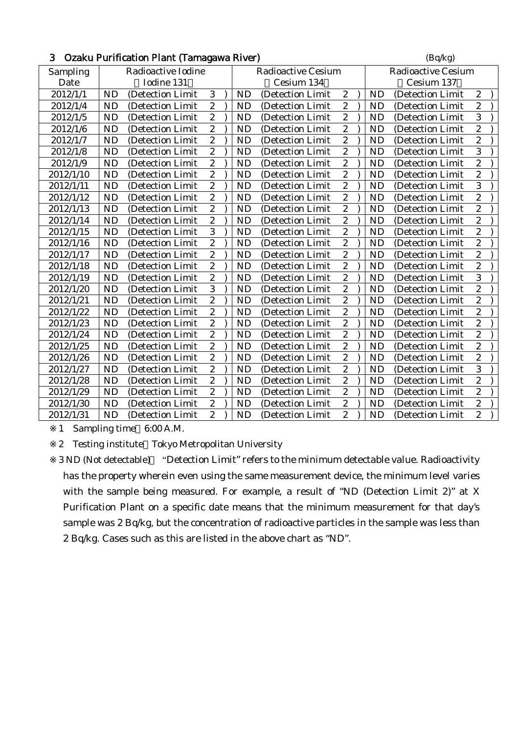| 3         |           | Ozaku Purification Plant (Tamagawa River) |                  |           |                           |                  |           | (Bq/kg)                   |                  |
|-----------|-----------|-------------------------------------------|------------------|-----------|---------------------------|------------------|-----------|---------------------------|------------------|
| Sampling  |           | Radioactive Iodine                        |                  |           | <b>Radioactive Cesium</b> |                  |           | <b>Radioactive Cesium</b> |                  |
| Date      |           | Iodine 131                                |                  |           | Cesium 134                |                  |           | Cesium 137                |                  |
| 2012/1/1  | ND        | (Detection Limit                          | 3                | <b>ND</b> | (Detection Limit          | $\boldsymbol{2}$ | <b>ND</b> | (Detection Limit          | $\boldsymbol{2}$ |
| 2012/1/4  | <b>ND</b> | (Detection Limit                          | $\overline{c}$   | <b>ND</b> | (Detection Limit          | $\overline{c}$   | <b>ND</b> | (Detection Limit          | $\overline{c}$   |
| 2012/1/5  | <b>ND</b> | (Detection Limit                          | $\overline{2}$   | <b>ND</b> | (Detection Limit          | $\overline{c}$   | <b>ND</b> | (Detection Limit          | 3                |
| 2012/1/6  | <b>ND</b> | (Detection Limit                          | $\boldsymbol{2}$ | <b>ND</b> | (Detection Limit          | $\sqrt{2}$       | <b>ND</b> | (Detection Limit          | $\overline{c}$   |
| 2012/1/7  | <b>ND</b> | (Detection Limit                          | $\overline{c}$   | <b>ND</b> | (Detection Limit          | $\overline{c}$   | <b>ND</b> | (Detection Limit          | $\overline{c}$   |
| 2012/1/8  | <b>ND</b> | (Detection Limit                          | $\overline{c}$   | <b>ND</b> | (Detection Limit          | $\boldsymbol{2}$ | <b>ND</b> | (Detection Limit          | 3                |
| 2012/1/9  | <b>ND</b> | (Detection Limit                          | $\boldsymbol{2}$ | <b>ND</b> | (Detection Limit          | $\boldsymbol{2}$ | <b>ND</b> | (Detection Limit          | $\overline{c}$   |
| 2012/1/10 | <b>ND</b> | (Detection Limit                          | $\overline{c}$   | <b>ND</b> | (Detection Limit          | $\overline{c}$   | <b>ND</b> | (Detection Limit          | $\overline{c}$   |
| 2012/1/11 | <b>ND</b> | (Detection Limit                          | $\overline{c}$   | <b>ND</b> | (Detection Limit          | $\overline{c}$   | <b>ND</b> | (Detection Limit          | 3                |
| 2012/1/12 | <b>ND</b> | (Detection Limit                          | $\overline{c}$   | <b>ND</b> | (Detection Limit          | $\boldsymbol{2}$ | <b>ND</b> | (Detection Limit          | $\overline{c}$   |
| 2012/1/13 | <b>ND</b> | (Detection Limit                          | $\overline{c}$   | <b>ND</b> | (Detection Limit          | $\overline{c}$   | <b>ND</b> | (Detection Limit          | $\overline{c}$   |
| 2012/1/14 | <b>ND</b> | (Detection Limit)                         | $\overline{c}$   | <b>ND</b> | (Detection Limit          | $\boldsymbol{2}$ | <b>ND</b> | (Detection Limit          | $\overline{c}$   |
| 2012/1/15 | <b>ND</b> | (Detection Limit                          | 3                | <b>ND</b> | (Detection Limit          | $\boldsymbol{2}$ | <b>ND</b> | (Detection Limit          | $\overline{c}$   |
| 2012/1/16 | <b>ND</b> | (Detection Limit                          | $\overline{c}$   | <b>ND</b> | (Detection Limit          | $\overline{c}$   | <b>ND</b> | (Detection Limit          | $\overline{c}$   |
| 2012/1/17 | <b>ND</b> | (Detection Limit)                         | $\overline{c}$   | <b>ND</b> | (Detection Limit)         | $\overline{c}$   | <b>ND</b> | (Detection Limit          | $\overline{c}$   |
| 2012/1/18 | <b>ND</b> | (Detection Limit                          | $\boldsymbol{2}$ | <b>ND</b> | (Detection Limit          | $\boldsymbol{2}$ | <b>ND</b> | (Detection Limit          | $\boldsymbol{2}$ |
| 2012/1/19 | <b>ND</b> | (Detection Limit                          | $\overline{c}$   | <b>ND</b> | (Detection Limit          | $\overline{c}$   | <b>ND</b> | (Detection Limit          | 3                |
| 2012/1/20 | <b>ND</b> | (Detection Limit)                         | 3                | <b>ND</b> | (Detection Limit)         | $\boldsymbol{2}$ | <b>ND</b> | (Detection Limit          | $\overline{c}$   |
| 2012/1/21 | <b>ND</b> | (Detection Limit                          | $\boldsymbol{2}$ | <b>ND</b> | (Detection Limit          | $\boldsymbol{2}$ | <b>ND</b> | (Detection Limit          | $\overline{c}$   |
| 2012/1/22 | <b>ND</b> | (Detection Limit                          | $\overline{c}$   | <b>ND</b> | (Detection Limit          | $\overline{c}$   | <b>ND</b> | (Detection Limit          | $\overline{c}$   |
| 2012/1/23 | <b>ND</b> | (Detection Limit                          | $\boldsymbol{2}$ | <b>ND</b> | (Detection Limit          | $\boldsymbol{2}$ | <b>ND</b> | (Detection Limit          | $\overline{c}$   |
| 2012/1/24 | <b>ND</b> | (Detection Limit                          | $\overline{2}$   | <b>ND</b> | (Detection Limit          | $\boldsymbol{2}$ | <b>ND</b> | (Detection Limit          | $\overline{c}$   |
| 2012/1/25 | <b>ND</b> | (Detection Limit                          | $\overline{c}$   | <b>ND</b> | (Detection Limit          | $\overline{c}$   | <b>ND</b> | (Detection Limit          | $\overline{c}$   |
| 2012/1/26 | <b>ND</b> | (Detection Limit                          | $\overline{c}$   | <b>ND</b> | (Detection Limit)         | $\boldsymbol{2}$ | <b>ND</b> | (Detection Limit          | $\overline{c}$   |
| 2012/1/27 | <b>ND</b> | (Detection Limit                          | $\overline{c}$   | <b>ND</b> | (Detection Limit          | $\overline{c}$   | <b>ND</b> | (Detection Limit          | 3                |
| 2012/1/28 | <b>ND</b> | (Detection Limit                          | $\overline{c}$   | <b>ND</b> | (Detection Limit          | $\overline{c}$   | <b>ND</b> | (Detection Limit          | $\overline{c}$   |
| 2012/1/29 | <b>ND</b> | (Detection Limit                          | $\overline{2}$   | <b>ND</b> | (Detection Limit          | $\boldsymbol{2}$ | <b>ND</b> | (Detection Limit          | $\overline{c}$   |
| 2012/1/30 | <b>ND</b> | (Detection Limit                          | $\boldsymbol{2}$ | <b>ND</b> | (Detection Limit          | $\sqrt{2}$       | <b>ND</b> | (Detection Limit          | $\overline{c}$   |
| 2012/1/31 | <b>ND</b> | (Detection Limit)                         | $\overline{c}$   | <b>ND</b> | (Detection Limit          | $\overline{c}$   | <b>ND</b> | (Detection Limit)         | $\overline{c}$   |

1 Sampling time 6:00 A.M.

2 Testing institute Tokyo Metropolitan University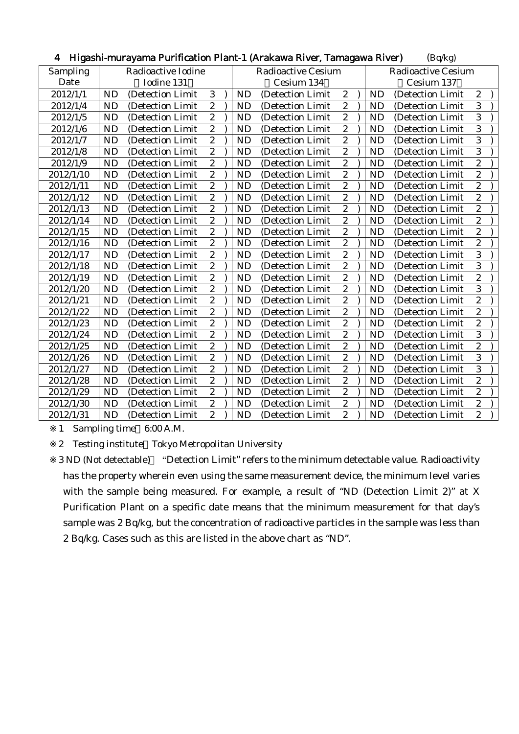| - Higashi-murayama Purification Piant-T (Arakawa River, Tamagawa River)<br>(Bq/Kg) |                    |                   |                  |  |           |                           |                         |                           |           |                   |                  |  |
|------------------------------------------------------------------------------------|--------------------|-------------------|------------------|--|-----------|---------------------------|-------------------------|---------------------------|-----------|-------------------|------------------|--|
| Sampling                                                                           | Radioactive Iodine |                   |                  |  |           | <b>Radioactive Cesium</b> |                         | <b>Radioactive Cesium</b> |           |                   |                  |  |
| Date                                                                               | Iodine 131         |                   |                  |  |           | Cesium 134                |                         |                           |           | Cesium 137        |                  |  |
| 2012/1/1                                                                           | <b>ND</b>          | (Detection Limit  | 3                |  | <b>ND</b> | (Detection Limit          | $\mathbf{2}$            |                           | <b>ND</b> | (Detection Limit  | $\boldsymbol{2}$ |  |
| 2012/1/4                                                                           | <b>ND</b>          | (Detection Limit) | $\boldsymbol{2}$ |  | <b>ND</b> | (Detection Limit          | $\boldsymbol{2}$        |                           | <b>ND</b> | (Detection Limit) | 3                |  |
| 2012/1/5                                                                           | <b>ND</b>          | (Detection Limit) | $\boldsymbol{2}$ |  | <b>ND</b> | (Detection Limit          | $\boldsymbol{2}$        |                           | <b>ND</b> | (Detection Limit  | 3                |  |
| 2012/1/6                                                                           | <b>ND</b>          | (Detection Limit  | $\overline{c}$   |  | <b>ND</b> | (Detection Limit          | $\boldsymbol{2}$        |                           | <b>ND</b> | (Detection Limit  | 3                |  |
| 2012/1/7                                                                           | <b>ND</b>          | (Detection Limit  | $\boldsymbol{2}$ |  | ND        | (Detection Limit)         | $\boldsymbol{2}$        |                           | <b>ND</b> | (Detection Limit  | 3                |  |
| 2012/1/8                                                                           | <b>ND</b>          | (Detection Limit  | $\sqrt{2}$       |  | ND        | (Detection Limit          | $\boldsymbol{2}$        |                           | <b>ND</b> | (Detection Limit  | 3                |  |
| 2012/1/9                                                                           | <b>ND</b>          | (Detection Limit  | $\overline{c}$   |  | <b>ND</b> | (Detection Limit          | $\overline{c}$          |                           | <b>ND</b> | (Detection Limit  | $\overline{c}$   |  |
| 2012/1/10                                                                          | <b>ND</b>          | (Detection Limit  | $\boldsymbol{2}$ |  | <b>ND</b> | (Detection Limit          | $\sqrt{2}$              |                           | <b>ND</b> | (Detection Limit  | $\overline{c}$   |  |
| 2012/1/11                                                                          | <b>ND</b>          | (Detection Limit  | $\overline{2}$   |  | ND        | (Detection Limit          | $\boldsymbol{2}$        |                           | <b>ND</b> | (Detection Limit  | $\overline{2}$   |  |
| 2012/1/12                                                                          | <b>ND</b>          | (Detection Limit  | $\overline{c}$   |  | <b>ND</b> | (Detection Limit)         | $\boldsymbol{2}$        |                           | $\rm ND$  | (Detection Limit  | $\overline{c}$   |  |
| 2012/1/13                                                                          | <b>ND</b>          | (Detection Limit  | $\boldsymbol{2}$ |  | ND        | (Detection Limit          | $\boldsymbol{2}$        |                           | <b>ND</b> | (Detection Limit  | $\overline{c}$   |  |
| 2012/1/14                                                                          | <b>ND</b>          | (Detection Limit  | $\boldsymbol{2}$ |  | ND        | (Detection Limit          | $\sqrt{2}$              |                           | <b>ND</b> | (Detection Limit  | $\overline{c}$   |  |
| 2012/1/15                                                                          | <b>ND</b>          | (Detection Limit  | $\overline{c}$   |  | <b>ND</b> | (Detection Limit)         | $\boldsymbol{2}$        |                           | <b>ND</b> | (Detection Limit) | $\overline{c}$   |  |
| 2012/1/16                                                                          | <b>ND</b>          | (Detection Limit  | $\boldsymbol{2}$ |  | <b>ND</b> | (Detection Limit          | $\boldsymbol{2}$        |                           | <b>ND</b> | (Detection Limit  | $\overline{c}$   |  |
| 2012/1/17                                                                          | <b>ND</b>          | (Detection Limit  | $\overline{c}$   |  | ND        | (Detection Limit          | $\boldsymbol{2}$        |                           | <b>ND</b> | (Detection Limit  | 3                |  |
| 2012/1/18                                                                          | <b>ND</b>          | (Detection Limit  | $\overline{c}$   |  | ND        | (Detection Limit)         | $\boldsymbol{2}$        |                           | <b>ND</b> | (Detection Limit  | 3                |  |
| 2012/1/19                                                                          | <b>ND</b>          | (Detection Limit  | $\boldsymbol{2}$ |  | <b>ND</b> | (Detection Limit          | $\boldsymbol{2}$        |                           | <b>ND</b> | (Detection Limit  | $\overline{c}$   |  |
| 2012/1/20                                                                          | <b>ND</b>          | (Detection Limit  | $\overline{c}$   |  | ND        | (Detection Limit          | $\boldsymbol{2}$        |                           | <b>ND</b> | (Detection Limit  | 3                |  |
| 2012/1/21                                                                          | <b>ND</b>          | (Detection Limit  | $\boldsymbol{2}$ |  | <b>ND</b> | (Detection Limit)         | $\boldsymbol{2}$        |                           | <b>ND</b> | (Detection Limit) | $\overline{c}$   |  |
| 2012/1/22                                                                          | <b>ND</b>          | (Detection Limit  | $\sqrt{2}$       |  | <b>ND</b> | (Detection Limit          | $\boldsymbol{2}$        |                           | <b>ND</b> | (Detection Limit  | $\overline{c}$   |  |
| 2012/1/23                                                                          | ND                 | (Detection Limit  | $\boldsymbol{2}$ |  | <b>ND</b> | (Detection Limit          | $\overline{\mathbf{c}}$ |                           | <b>ND</b> | (Detection Limit  | $\overline{c}$   |  |
| 2012/1/24                                                                          | <b>ND</b>          | (Detection Limit) | $\overline{c}$   |  | <b>ND</b> | (Detection Limit)         | $\boldsymbol{2}$        |                           | <b>ND</b> | (Detection Limit  | 3                |  |
| 2012/1/25                                                                          | <b>ND</b>          | (Detection Limit  | $\boldsymbol{2}$ |  | ND        | (Detection Limit          | $\boldsymbol{2}$        |                           | <b>ND</b> | (Detection Limit  | $\overline{c}$   |  |
| 2012/1/26                                                                          | <b>ND</b>          | (Detection Limit  | $\overline{c}$   |  | ND        | (Detection Limit          | $\boldsymbol{2}$        |                           | <b>ND</b> | (Detection Limit  | 3                |  |
| 2012/1/27                                                                          | <b>ND</b>          | (Detection Limit  | $\overline{c}$   |  | <b>ND</b> | (Detection Limit          | $\overline{c}$          |                           | <b>ND</b> | (Detection Limit  | 3                |  |
| 2012/1/28                                                                          | <b>ND</b>          | (Detection Limit  | $\overline{c}$   |  | ND        | (Detection Limit          | $\boldsymbol{2}$        |                           | <b>ND</b> | (Detection Limit  | $\boldsymbol{2}$ |  |
| 2012/1/29                                                                          | <b>ND</b>          | (Detection Limit  | $\overline{2}$   |  | <b>ND</b> | (Detection Limit          | $\overline{2}$          |                           | <b>ND</b> | (Detection Limit  | $\overline{2}$   |  |
| 2012/1/30                                                                          | <b>ND</b>          | (Detection Limit  | $\boldsymbol{2}$ |  | <b>ND</b> | (Detection Limit          | $\boldsymbol{2}$        |                           | <b>ND</b> | (Detection Limit  | $\overline{c}$   |  |
| 2012/1/31                                                                          | <b>ND</b>          | (Detection Limit) | $\overline{2}$   |  | ND        | (Detection Limit)         | $\overline{c}$          |                           | <b>ND</b> | (Detection Limit) | $\overline{c}$   |  |

### 4 Higashi-murayama Durification Plant-1 (Arakawa Piyer, Tamagawa Piyer) (Bq/kg)

1 Sampling time 6:00 A.M.

2 Testing institute Tokyo Metropolitan University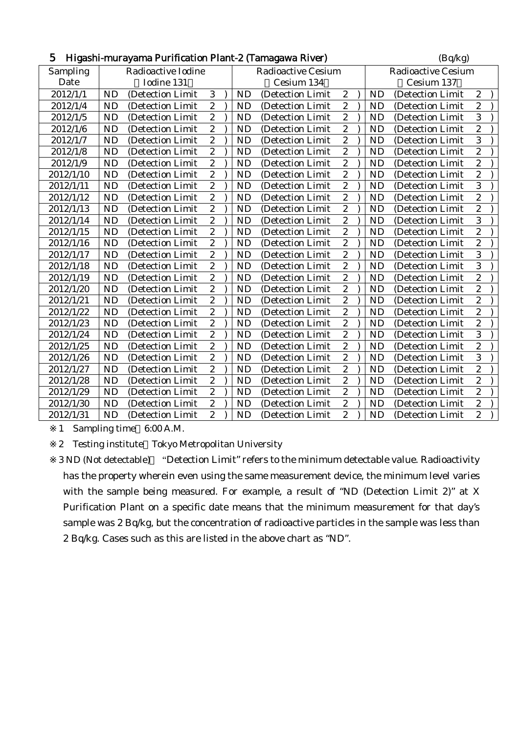| 5<br>Higashi-murayama Purification Plant-2 (Tamagawa River)<br>(Bq/kg) |           |                    |                  |  |           |                           |                           |            |           |                   |                  |  |
|------------------------------------------------------------------------|-----------|--------------------|------------------|--|-----------|---------------------------|---------------------------|------------|-----------|-------------------|------------------|--|
| Sampling                                                               |           | Radioactive Iodine |                  |  |           | <b>Radioactive Cesium</b> | <b>Radioactive Cesium</b> |            |           |                   |                  |  |
| Date                                                                   |           | Iodine 131         |                  |  |           | Cesium 134                |                           | Cesium 137 |           |                   |                  |  |
| 2012/1/1                                                               | <b>ND</b> | (Detection Limit   | 3                |  | <b>ND</b> | (Detection Limit          | $\sqrt{2}$                |            | <b>ND</b> | (Detection Limit  | $\boldsymbol{2}$ |  |
| 2012/1/4                                                               | <b>ND</b> | (Detection Limit   | $\overline{c}$   |  | <b>ND</b> | (Detection Limit)         | $\overline{c}$            |            | <b>ND</b> | (Detection Limit  | $\overline{c}$   |  |
| 2012/1/5                                                               | <b>ND</b> | (Detection Limit)  | $\overline{c}$   |  | <b>ND</b> | (Detection Limit)         | $\overline{c}$            |            | <b>ND</b> | (Detection Limit  | 3                |  |
| 2012/1/6                                                               | <b>ND</b> | (Detection Limit   | $\boldsymbol{2}$ |  | <b>ND</b> | (Detection Limit          | $\sqrt{2}$                |            | <b>ND</b> | (Detection Limit  | $\overline{c}$   |  |
| 2012/1/7                                                               | <b>ND</b> | (Detection Limit   | $\overline{c}$   |  | <b>ND</b> | (Detection Limit          | $\overline{c}$            |            | <b>ND</b> | (Detection Limit  | 3                |  |
| 2012/1/8                                                               | <b>ND</b> | (Detection Limit   | $\boldsymbol{2}$ |  | <b>ND</b> | (Detection Limit)         | $\boldsymbol{2}$          |            | <b>ND</b> | (Detection Limit  | $\overline{c}$   |  |
| 2012/1/9                                                               | <b>ND</b> | (Detection Limit)  | $\boldsymbol{2}$ |  | <b>ND</b> | (Detection Limit          | $\sqrt{2}$                |            | <b>ND</b> | (Detection Limit) | $\overline{c}$   |  |
| 2012/1/10                                                              | <b>ND</b> | (Detection Limit)  | $\overline{c}$   |  | <b>ND</b> | (Detection Limit          | $\overline{c}$            |            | <b>ND</b> | (Detection Limit) | $\overline{c}$   |  |
| 2012/1/11                                                              | <b>ND</b> | (Detection Limit)  | $\boldsymbol{2}$ |  | <b>ND</b> | (Detection Limit)         | $\boldsymbol{2}$          |            | <b>ND</b> | (Detection Limit  | 3                |  |
| 2012/1/12                                                              | <b>ND</b> | (Detection Limit   | $\boldsymbol{2}$ |  | <b>ND</b> | (Detection Limit          | $\sqrt{2}$                |            | <b>ND</b> | (Detection Limit  | $\overline{c}$   |  |
| 2012/1/13                                                              | <b>ND</b> | (Detection Limit   | $\overline{2}$   |  | ND        | (Detection Limit          | $\overline{c}$            |            | <b>ND</b> | (Detection Limit  | $\overline{c}$   |  |
| 2012/1/14                                                              | <b>ND</b> | (Detection Limit   | $\overline{c}$   |  | <b>ND</b> | (Detection Limit)         | $\overline{c}$            |            | <b>ND</b> | (Detection Limit  | 3                |  |
| 2012/1/15                                                              | <b>ND</b> | (Detection Limit)  | $\boldsymbol{2}$ |  | <b>ND</b> | (Detection Limit)         | $\boldsymbol{2}$          |            | <b>ND</b> | (Detection Limit) | $\overline{c}$   |  |
| 2012/1/16                                                              | <b>ND</b> | (Detection Limit   | $\overline{c}$   |  | <b>ND</b> | (Detection Limit          | $\boldsymbol{2}$          |            | <b>ND</b> | (Detection Limit  | $\overline{c}$   |  |
| 2012/1/17                                                              | <b>ND</b> | (Detection Limit   | $\overline{2}$   |  | <b>ND</b> | (Detection Limit          | $\overline{c}$            |            | <b>ND</b> | (Detection Limit  | 3                |  |
| 2012/1/18                                                              | <b>ND</b> | (Detection Limit   | $\boldsymbol{2}$ |  | <b>ND</b> | (Detection Limit          | $\boldsymbol{2}$          |            | <b>ND</b> | (Detection Limit  | 3                |  |
| 2012/1/19                                                              | <b>ND</b> | (Detection Limit)  | $\overline{2}$   |  | <b>ND</b> | (Detection Limit)         | $\overline{c}$            |            | <b>ND</b> | (Detection Limit  | $\overline{c}$   |  |
| 2012/1/20                                                              | <b>ND</b> | (Detection Limit   | $\overline{c}$   |  | <b>ND</b> | (Detection Limit)         | $\overline{c}$            |            | <b>ND</b> | (Detection Limit  | $\overline{c}$   |  |
| 2012/1/21                                                              | <b>ND</b> | (Detection Limit   | $\boldsymbol{2}$ |  | <b>ND</b> | (Detection Limit          | $\boldsymbol{2}$          |            | <b>ND</b> | (Detection Limit  | $\overline{c}$   |  |
| 2012/1/22                                                              | <b>ND</b> | (Detection Limit   | $\overline{c}$   |  | ND        | (Detection Limit          | $\sqrt{2}$                |            | <b>ND</b> | (Detection Limit  | $\overline{2}$   |  |
| 2012/1/23                                                              | <b>ND</b> | (Detection Limit   | $\overline{c}$   |  | <b>ND</b> | (Detection Limit          | $\overline{c}$            |            | <b>ND</b> | (Detection Limit  | $\overline{c}$   |  |
| 2012/1/24                                                              | <b>ND</b> | (Detection Limit)  | $\boldsymbol{2}$ |  | <b>ND</b> | (Detection Limit)         | $\boldsymbol{2}$          |            | <b>ND</b> | (Detection Limit  | 3                |  |
| 2012/1/25                                                              | <b>ND</b> | (Detection Limit   | $\boldsymbol{2}$ |  | <b>ND</b> | (Detection Limit)         | $\boldsymbol{2}$          |            | <b>ND</b> | (Detection Limit  | $\overline{c}$   |  |
| 2012/1/26                                                              | <b>ND</b> | (Detection Limit   | $\overline{c}$   |  | <b>ND</b> | (Detection Limit          | $\overline{c}$            |            | <b>ND</b> | (Detection Limit  | 3                |  |
| 2012/1/27                                                              | <b>ND</b> | (Detection Limit)  | $\boldsymbol{2}$ |  | <b>ND</b> | (Detection Limit)         | $\boldsymbol{2}$          |            | <b>ND</b> | (Detection Limit  | $\overline{c}$   |  |
| 2012/1/28                                                              | <b>ND</b> | (Detection Limit   | $\boldsymbol{2}$ |  | <b>ND</b> | (Detection Limit          | $\sqrt{2}$                |            | <b>ND</b> | (Detection Limit  | $\overline{c}$   |  |
| 2012/1/29                                                              | <b>ND</b> | (Detection Limit)  | $\overline{c}$   |  | <b>ND</b> | (Detection Limit)         | $\overline{c}$            |            | <b>ND</b> | (Detection Limit) | $\overline{c}$   |  |
| 2012/1/30                                                              | <b>ND</b> | (Detection Limit)  | $\boldsymbol{2}$ |  | <b>ND</b> | (Detection Limit)         | $\boldsymbol{2}$          |            | <b>ND</b> | (Detection Limit  | $\overline{c}$   |  |
| 2012/1/31                                                              | <b>ND</b> | (Detection Limit   | $\boldsymbol{2}$ |  | <b>ND</b> | (Detection Limit          | $\overline{c}$            |            | <b>ND</b> | (Detection Limit  | $\overline{c}$   |  |

1 Sampling time 6:00 A.M.

2 Testing institute Tokyo Metropolitan University